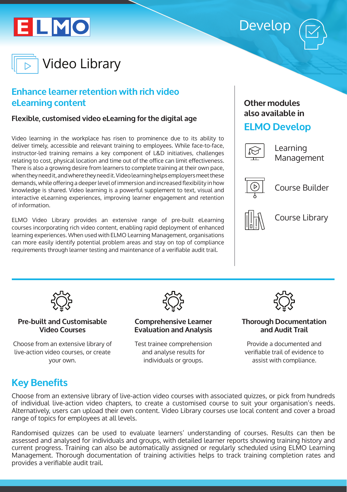





## **Enhance learner retention with rich video eLearning content**

#### **Flexible, customised video eLearning for the digital age**

Video learning in the workplace has risen to prominence due to its ability to deliver timely, accessible and relevant training to employees. While face-to-face, instructor-led training remains a key component of L&D initiatives, challenges relating to cost, physical location and time out of the office can limit effectiveness. There is also a growing desire from learners to complete training at their own pace, when they need it, and where they need it. Video learning helps employers meet these demands, while offering a deeper level of immersion and increased flexibility in how knowledge is shared. Video learning is a powerful supplement to text, visual and interactive eLearning experiences, improving learner engagement and retention of information.

ELMO Video Library provides an extensive range of pre-built eLearning courses incorporating rich video content, enabling rapid deployment of enhanced learning experiences. When used with ELMO Learning Management, organisations can more easily identify potential problem areas and stay on top of compliance requirements through learner testing and maintenance of a verifiable audit trail.

### **Other modules also available in**

## **ELMO Develop**



Learning Management



Course Builder



Course Library



#### **Pre-built and Customisable Video Courses**

Choose from an extensive library of live-action video courses, or create your own.



#### **Comprehensive Learner Evaluation and Analysis**

Test trainee comprehension and analyse results for individuals or groups.



#### **Thorough Documentation and Audit Trail**

Provide a documented and verifiable trail of evidence to assist with compliance.

# **Key Benefits**

Choose from an extensive library of live-action video courses with associated quizzes, or pick from hundreds of individual live-action video chapters, to create a customised course to suit your organisation's needs. Alternatively, users can upload their own content. Video Library courses use local content and cover a broad range of topics for employees at all levels.

Randomised quizzes can be used to evaluate learners' understanding of courses. Results can then be assessed and analysed for individuals and groups, with detailed learner reports showing training history and current progress. Training can also be automatically assigned or regularly scheduled using ELMO Learning Management. Thorough documentation of training activities helps to track training completion rates and provides a verifiable audit trail.